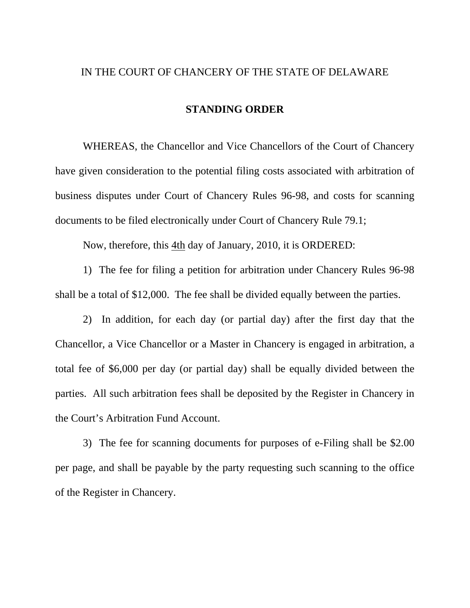## IN THE COURT OF CHANCERY OF THE STATE OF DELAWARE

## **STANDING ORDER**

 WHEREAS, the Chancellor and Vice Chancellors of the Court of Chancery have given consideration to the potential filing costs associated with arbitration of business disputes under Court of Chancery Rules 96-98, and costs for scanning documents to be filed electronically under Court of Chancery Rule 79.1;

Now, therefore, this 4th day of January, 2010, it is ORDERED:

 1) The fee for filing a petition for arbitration under Chancery Rules 96-98 shall be a total of \$12,000. The fee shall be divided equally between the parties.

 2) In addition, for each day (or partial day) after the first day that the Chancellor, a Vice Chancellor or a Master in Chancery is engaged in arbitration, a total fee of \$6,000 per day (or partial day) shall be equally divided between the parties. All such arbitration fees shall be deposited by the Register in Chancery in the Court's Arbitration Fund Account.

 3) The fee for scanning documents for purposes of e-Filing shall be \$2.00 per page, and shall be payable by the party requesting such scanning to the office of the Register in Chancery.